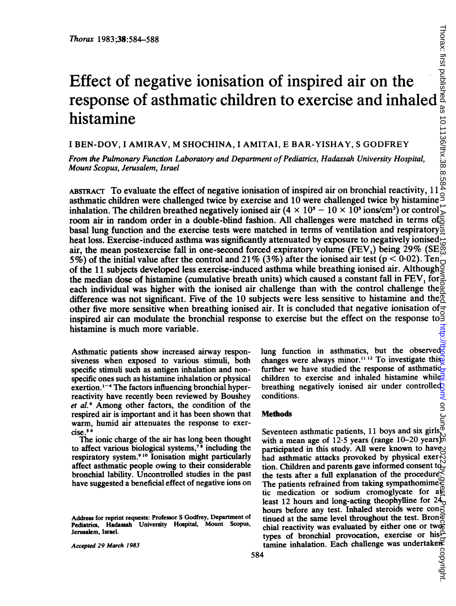# Effect of negative ionisation of inspired air on the Thorax 1983;38:584-588<br>
Effect of negative ionisation of inspired air on the<br>
response of asthmatic children to exercise and inhaled<br>
in the mistamine<br>
I BEN-DOV, I AMIRAV, M SHOCHINA, I AMITAI, E BAR-YISHAY, S GODFREY<br>
F histamine

<sup>I</sup> BEN-DOV, <sup>I</sup> AMIRAV, M SHOCHINA, <sup>I</sup> AMITAI, E BAR-YISHAY, <sup>S</sup> GODFREY

From the Pulmonary Function Laboratory and Department of Pediatrics, Hadassah University Hospital, Mount Scopus, Jerusalem, Israel

AssTRAcr To evaluate the effect of negative ionisation of inspired air on bronchial reactivity, 11 asthmatic children were challenged twice by exercise and 10 were challenged twice by histamine inhalation. The children breathed negatively ionised air  $(4 \times 10^5 - 10 \times 10^5 \text{ ions/cm}^3)$  or control room air in random order in a double-blind fashion. All challenges were matched in terms of  $\epsilon$ basal lung function and the exercise tests were matched in terms of ventilation and respiratory  $\overline{5}$ heat loss. Exercise-induced asthma was significantly attenuated by exposure to negatively ionised  $\alpha$ air, the mean postexercise fall in one-second forced expiratory volume (FEV<sub>1</sub>) being 29% (SE $\frac{80}{3}$ ) 5%) of the initial value after the control and 21% (3%) after the ionised air test (p < 0.02). Ten of the 11 subjects developed less exercise-induced asthma while breathing ionised air. Although the median dose of histamine (cumulative breath units) which caused a constant fall in  $FEV<sub>1</sub>$  for each individual was higher with the ionised air challenge than with the control challenge the  $\frac{1}{2}$ difference was not significant. Five of the 10 subjects were less sensitive to histamine and the  $\frac{1}{2}$ other five more sensitive when breathing ionised air. It is concluded that negative ionisation of inspired air can modulate the bronchial response to exercise but the effect on the response to histamine is much more variable.

Asthmatic patients show increased airway responsiveness when exposed to various stimuli, both specific stimuli such as antigen inhalation and nonspecific ones such as histamine inhalation or physical exertion. $1 - 4$  The factors influencing bronchial hyperreactivity have recently been reviewed by Boushey et al.4 Among other factors, the condition of the respired air is important and it has been shown that warm, humid air attenuates the response to exercise.5 6

The ionic charge of the air has long been thought to affect various biological systems,78 including the respiratory system.<sup>910</sup> Ionisation might particularly affect asthmatic people owing to their considerable bronchial lability. Uncontrolled studies in the past have suggested a beneficial effect of negative ions on

Accepted 29 March 1983

lung function in asthmatics, but the observed $\overline{z}$ changes were always minor.<sup>11 12</sup> To investigate this further we have studied the response of asthmatic $\hat{G}$ children to exercise and inhaled histamine while breathing negatively ionised air under controlled conditions.

## **Methods**

Seventeen asthmatic patients, 11 boys and six girls, $\vec{\phi}$ with a mean age of  $12.5$  years (range  $10-20$  years) participated in this study. All were known to have had asthmatic attacks provoked by physical exer- $\Im$ tion. Children and parents gave informed consent to  $\frac{1}{2}$ the tests after a full explanation of the procedure. The patients refrained from taking sympathomime $\stackrel{\text{\tiny (1)}}{\leftarrow}$ tic medication or sodium cromoglycate for  $a\frac{b}{2}$ least 12 hours and long-acting theophylline for  $24\pi$ hours before any test. Inhaled steroids were  $\cos \vec{\theta}$ tinued at the same level throughout the test. Bronchial reactivity was evaluated by either one or twotypes of bronchial provocation, exercise or his $\triangle$ tamine inhalation. Each challenge was undertaken

Address for reprint requests: Professor S Godfrey, Department of Pediatrics, Hadassah University Hospital, Mount Scopus, Jerusalem, Israel.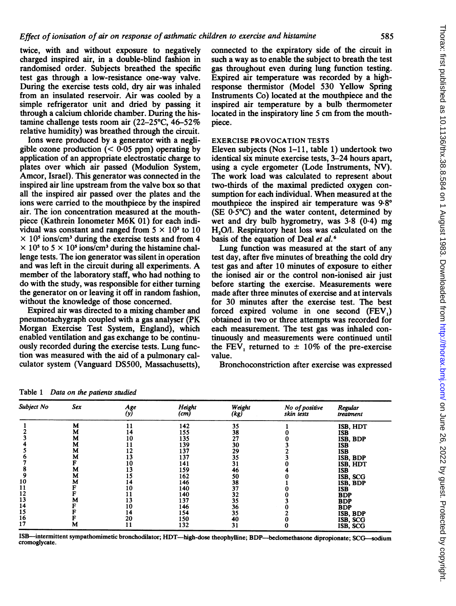twice, with and without exposure to negatively charged inspired air, in a double-blind fashion in randomised order. Subjects breathed the specific test gas through a low-resistance one-way valve. During the exercise tests cold, dry air was inhaled from an insulated reservoir. Air was cooled by a simple refrigerator unit and dried by passing it through a calcium chloride chamber. During the histamine challenge tests room air (22-25°C, 46-52% relative humidity) was breathed through the circuit.

Ions were produced by a generator with a negligible ozone production  $( $0.05$  ppm) operating by$ application of an appropriate electrostatic charge to plates over which air passed (Modulion System, Amcor, Israel). This generator was connected in the inspired air line upstream from the valve box so that all the inspired air passed over the plates and the ions were carried to the mouthpiece by the inspired air. The ion concentration measured at the mouthpiece (Kathrein Ionometer M6K 01) for each individual was constant and ranged from  $5 \times 10^5$  to 10  $\times$  10<sup>5</sup> ions/cm<sup>3</sup> during the exercise tests and from 4  $\times$  10<sup>5</sup> to 5  $\times$  10<sup>5</sup> ions/cm<sup>3</sup> during the histamine challenge tests. The ion generator was silent in operation and was left in the circuit during all experiments. A member of the laboratory staff, who had nothing to do with the study, was responsible for either turning the generator on or leaving it off in random fashion, without the knowledge of those concerned.

Expired air was directed to a mixing chamber and pneumotachygraph coupled with a gas analyser (PK Morgan Exercise Test System, England), which enabled ventilation and gas exchange to be continuously recorded during the exercise tests. Lung function was measured with the aid of a pulmonary calculator system (Vanguard DS500, Massachusetts), connected to the expiratory side of the circuit in such a way as to enable the subject to breath the test gas throughout even during lung function testing. Expired air temperature was recorded by a highresponse thermistor (Model 530 Yellow Spring Instruments Co) located at the mouthpiece and the inspired air temperature by a bulb thermometer located in the inspiratory line 5 cm from the mouthpiece.

# EXERCISE PROVOCATION TESTS

Eleven subjects (Nos 1-11, table 1) undertook two identical six minute exercise tests, 3-24 hours apart, using a cycle ergometer (Lode Instruments, NV). The work load was calculated to represent about two-thirds of the maximal predicted oxygen consumption for each individual. When measured at the mouthpiece the inspired air temperature was  $9.8^\circ$ (SE  $0.5^{\circ}$ C) and the water content, determined by wet and dry bulb hygrometry, was 3-8 (0-4) mg H<sub>2</sub>O/l. Respiratory heat loss was calculated on the basis of the equation of Deal et al.<sup>6</sup>

Lung function was measured at the start of any test day, after five minutes of breathing the cold dry test gas and after 10 minutes of exposure to either the ionised air or the control non-ionised air just before starting the exercise. Measurements were made after three minutes of exercise and at intervals for 30 minutes after the exercise test. The best forced expired volume in one second (FEV,) obtained in two or three attempts was recorded for each measurement. The test gas was inhaled continuously and measurements were continued until the FEV, returned to  $\pm$  10% of the pre-exercise value.

Bronchoconstriction after exercise was expressed

| Subject No | Sex | Age<br>(y) | Height<br>(cm) | Weight<br>(kg) | No of positive<br>skin tests | Regular<br>treatment |
|------------|-----|------------|----------------|----------------|------------------------------|----------------------|
|            | M   |            | 142            | 35             |                              | ISB, HDT             |
|            | M   | 14         | 155            | 38             |                              | <b>ISB</b>           |
|            | M   | 10         | 135            | 27             |                              | ISB, BDP             |
|            | М   |            | 139            | 30             |                              | ISB                  |
|            | м   | 12         | 137            | 29             |                              | ISB                  |
|            | м   | 13         | 137            | 35             |                              | ISB, BDP             |
|            |     | 10         | 141            | 31             |                              | ISB, HDT             |
|            | М   | 13         | 159            | 46             |                              | ISB                  |
|            | M   | i 5        | 162            | 50             |                              | ISB, SCG             |
| 10         | M   | . 4        | 146            | 38             |                              | ISB, BDP             |
|            |     | l O        | 140            | 37             |                              | ISB                  |
| 12         |     |            | 140            | 32             |                              | <b>BDP</b>           |
| 13         | м   |            | 137            | 35             |                              | <b>BDP</b>           |
| 14         |     | 10         | 146            | 36             |                              | <b>BDP</b>           |
| 15         |     | 14         | 154            | 35             |                              | ISB, BDP             |
| 16         |     | 20         | 150            | 40             |                              | ISB, SCG             |
| 17         | м   |            | 132            | 31             |                              | ISB, SCG             |

Table <sup>1</sup> Data on the patients studied

ISB-intermittent sympathomimetic bronchodilator; HDT-high-dose theophylline; BDP-beclomethasone dipropionate; SCG-sodium cromoglycate.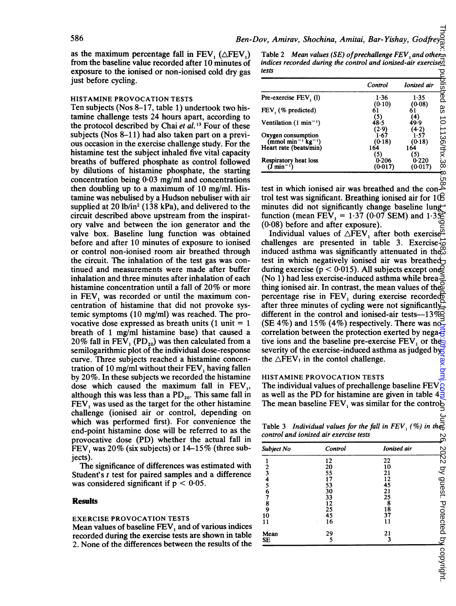as the maximum percentage fall in FEV,  $(\triangle FEV_1)$ from the baseline value recorded after 10 minutes of exposure to the ionised or non-ionised cold dry gas just before cycling.

## HISTAMINE PROVOCATION TESTS

Ten subjects (Nos 8-17, table 1) undertook two histamine challenge tests 24 hours apart, according to the protocol described by Chai et al.<sup>13</sup> Four of these subjects (Nos 8-11) had also taken part on a previous occasion in the exercise challenge study. For the histamine test the subject inhaled five vital capacity breaths of buffered phosphate as control followed by dilutions of histamine phosphate, the starting concentration being 0-03 mg/ml and concentrations then doubling up to a maximum of 10 mg/ml. Histamine was nebulised by a Hudson nebuliser with air supplied at 20 lb/in<sup>2</sup> (138 kPa), and delivered to the circuit described above upstream from the inspiratory valve and between the ion generator and the valve box. Baseline lung function was obtained before and after 10 minutes of exposure to ionised or control non-ionised room air breathed through the circuit. The inhalation of the test gas was continued and measurements were made after buffer inhalation and three minutes after inhalation of each histamine concentration until <sup>a</sup> fall of 20% or more in FEV, was recorded or until the maximum concentration of histamine that did not provoke systemic symptoms (10 mg/ml) was reached. The provocative dose expressed as breath units  $(1 \text{ unit} = 1)$ breath of <sup>1</sup> mg/ml histamine base) that caused a 20% fall in FEV,  $(PD_{20})$  was then calculated from a semilogarithmic plot of the individual dose-response curve. Three subjects reached a histamine concentration of 10 mg/ml without their FEV, having fallen by 20%. In these subjects we recorded the histamine dose which caused the maximum fall in  $FEV<sub>1</sub>$ , although this was less than a  $PD_{20}$ . This same fall in FEV, was used as the target for the other histamine challenge (ionised air or control, depending on which was performed first). For convenience the end-point histamine dose will be referred to as the provocative dose (PD) whether the actual fall in FEV, was  $20\%$  (six subjects) or  $14-15\%$  (three subjects).

The significance of differences was estimated with Student's <sup>t</sup> test for paired samples and a difference was considered significant if  $p < 0.05$ .

#### **Results**

## EXERCISE PROVOCATION TESTS

Mean values of baseline FEV, and of various indices recorded during the exercise tests are shown in table 2. None of the differences between the results of the

Table 2 Mean values (SE) of prechallenge  $FEV$ , and other= indices recorded during the control and ionised-air exercised tests

|                                               | Control          | Ionised air         | 을<br>이후        |
|-----------------------------------------------|------------------|---------------------|----------------|
| Pre-exercise FEV, (l)                         | 1.36<br>(0.10)   | 1.35<br>(0.08)      | ined           |
| FEV (% predicted)                             | 61<br>(5)        |                     | 88             |
| Ventilation $(1 \text{ min}^{-1})$            | 48.5<br>(2.9)    | 4)<br>49.9<br>(4.2) |                |
| Oxygen consumption<br>$(mmol min-1 kg-1)$     | 1-67<br>(0-18)   | 1-57<br>(0.18)      | 10.1136/thx.38 |
| Heart rate (beats/min)                        | 164<br>[5]       | 164<br>(5)          |                |
| Respiratory heat loss<br>(J min <sup>—1</sup> | 0.206<br>(0-017) | 0.220<br>(0-017)    | m              |

test in which ionised air was breathed and the control test was significant. Breathing ionised air for 10 minutes did not significantly change baseline lungfunction (mean FEV, =  $1.37$  (0.07 SEM) and  $1.3\overline{\mathcal{Z}}$ (0.08) before and after exposure).

Individual values of  $\triangle$ FEV, after both exercise<sup> $\overline{a}$ </sup> challenges are presented in table 3. Exercise $\vec{\infty}$ induced asthma was significantly attenuated in the $\infty$ test in which negatively ionised air was breathed during exercise ( $p < 0.015$ ). All subjects except ones (No 1) had less exercise-induced asthma while breathing ionised air. In contrast, the mean values of the percentage rise in FEV, during exercise recorded after three minutes of cycling were not significantly different in the control and ionised-air tests- $-13\%$ (SE 4%) and 15% (4%) respectively. There was nocorrelation between the protection exerted by nega $\frac{1}{2}$ tive ions and the baseline pre-exercise  $FEV$ , or the severity of the exercise-induced asthma as judged by  $\frac{1}{2}$ the  $\triangle$ FEV<sub>1</sub> in the contol challenge. on June 26, 2022 by guest. Protected by copyright. <http://thorax.bmj.com/> Thorax: first published as 10.1136/thx.38.8.584 on 1 August 1983. Downloaded from

## HISTAMINE PROVOCATION TESTS

The individual values of prechallenge baseline FEV, as well as the PD for histamine are given in table 4. The mean baseline  $FEV_1$  was similar for the control

Table 3 Individual values for the fall in  $FEV_1$  (%) in the control and ionised air exercise tests

| Subject No     | Control         | Ionised air |           |
|----------------|-----------------|-------------|-----------|
|                | 12              | 22          | 2022 by   |
| $\overline{c}$ | 20              | 10          |           |
| 3              | 55              | 21          |           |
| 4              | 17              | 12          | guest.    |
|                | 53              | 45          |           |
| 6              | 30              | 21          |           |
|                | 33              | 25          |           |
| 8              | $\frac{12}{25}$ | 8           |           |
| 9              |                 | 18          |           |
| 10             |                 | 37          |           |
| 11             | 16              | 11          | Protected |
| Mean           | 29              | 21          |           |
| <b>SE</b>      | 5               | 3           | ₫         |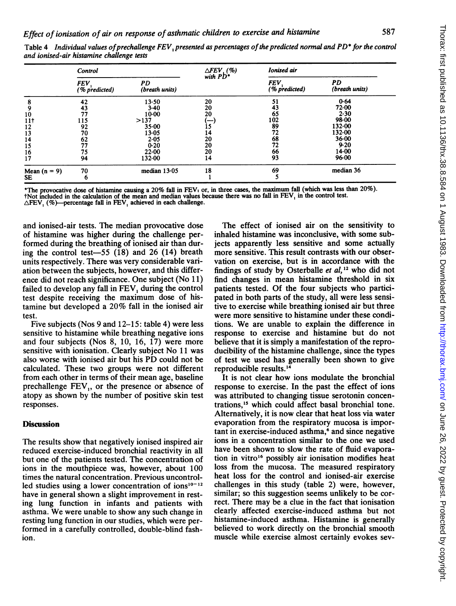|                 | Control               |                      | $\triangle$ FEV (%)<br>with PD <sup>*</sup> | Ionised air           |                      |
|-----------------|-----------------------|----------------------|---------------------------------------------|-----------------------|----------------------|
|                 | FEV.<br>(% predicted) | PD<br>(breath units) |                                             | FEV.<br>(% predicted) | PD<br>(breath units) |
| 8               | 42                    | $13 - 50$            | 20                                          | 51                    | 0.64                 |
|                 | 43                    | 3.40                 | 20                                          | 43                    | 72.00                |
| 10              | 77                    | $10-00$              | 20                                          | 65                    | 2.30                 |
| 11 <sup>†</sup> | 115                   | >137                 |                                             | 102                   | 98.00                |
| 12              | 92                    | 35.00                | $\frac{1}{5}$                               | 89                    | 132.00               |
| 13              | 70                    | $13-05$              | 14                                          | 72                    | 132.00               |
| 14              |                       | $2 - 05$             | 20                                          | 68                    | $36 - 00$            |
| 15              | $\frac{62}{77}$       | 0.20                 | 20                                          | 72                    | 9.20                 |
| 16              | 75                    | 22.00                | 20                                          | 66                    | 14.00                |
| 17              | 94                    | 132.00               | 14                                          | 93                    | $96-00$              |
| Mean $(n = 9)$  | 70                    | median $13.05$       | 18                                          | 69                    | median 36            |
| SE.             | 6                     |                      |                                             |                       |                      |

Table 4 Individual values of prechallenge FEV, presented as percentages of the predicted normal and PD\* for the control and ionised-air histamine challenge tests

\*The provocative dose of histamine causing <sup>a</sup> 20% fall in FEV. or, in three cases, the maximum fall (which was less than 20%). tNot included in the calculation of the mean and median values because there was no fall in  $FEV<sub>1</sub>$  in the control test.

 $\triangle$ FEV,  $(\%)$ —percentage fall in FEV, achieved in each challenge.

and ionised-air tests. The median provocative dose of histamine was higher during the challenge performed during the breathing of ionised air than during the control test- $-55$  (18) and 26 (14) breath units respectively. There was very considerable variation between the subjects, however, and this difference did not reach significance. One subject (No 11) failed to develop any fall in FEV, during the control test despite receiving the maximum dose of histamine but developed <sup>a</sup> 20% fall in the ionised air test.

Five subjects (Nos 9 and 12-15: table 4) were less sensitive to histamine while breathing negative ions and four subjects (Nos 8, 10, 16, 17) were more sensitive with ionisation. Clearly subject No <sup>11</sup> was also worse with ionised air but his PD could not be calculated. These two groups were not different from each other in terms of their mean age, baseline prechallenge  $FEV<sub>1</sub>$ , or the presence or absence of atopy as shown by the number of positive skin test responses.

# **Discussion**

The results show that negatively ionised inspired air reduced exercise-induced bronchial reactivity in all but one of the patients tested. The concentration of ions in the mouthpiece was, however, about 100 times the natural concentration. Previous uncontrolled studies using a lower concentration of ions $10^{-12}$ have in general shown a slight improvement in resting lung function in infants and patients with asthma. We were unable to show any such change in resting lung function in our studies, which were performed in a carefully controlled, double-blind fashion.

The effect of ionised air on the sensitivity to inhaled histamine was inconclusive, with some subjects apparently less sensitive and some actually more sensitive. This result contrasts with our observation on exercise, but is in accordance with the findings of study by Osterballe et  $al$ ,<sup>12</sup> who did not find changes in mean histamine threshold in six patients tested. Of the four subjects who participated in both parts of the study, all were less sensitive to exercise while breathing ionised air but three were more sensitive to histamine under these conditions. We are unable to explain the difference in response to exercise and histamine but do not believe that it is simply a manifestation of the reproducibility of the histamine challenge, since the types of test we used has generally been shown to give reproducible results.'4

It is not clear how ions modulate the bronchial response to exercise. In the past the effect of ions was attributed to changing tissue serotonin concentrations,'5 which could affect basal bronchial tone. Alternatively, it is now clear that heat loss via water evaporation from the respiratory mucosa is impor $tant in exercise-induced as thma<sub>1</sub><sup>6</sup> and since negative$ ions in a concentration similar to the one we used have been shown to slow the rate of fluid evaporation in vitro'6 possibly air ionisation modifies heat loss from the mucosa. The measured respiratory heat loss for the control and ionised-air exercise challenges in this study (table 2) were, however, similar; so this suggestion seems unlikely to be correct. There may be a clue in the fact that ionisation clearly affected exercise-induced asthma but not histamine-induced asthma. Histamine is generally believed to work directly on the bronchial smooth muscle while exercise almost certainly evokes sev